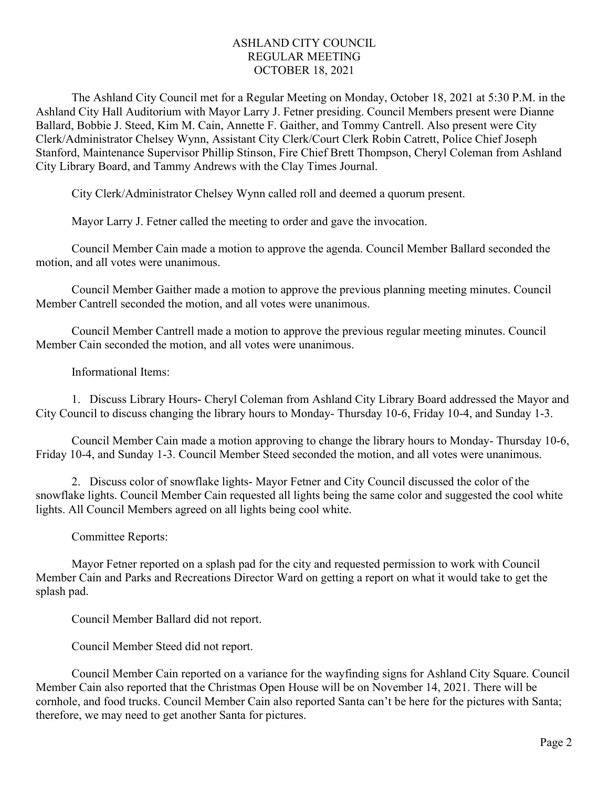## ASHLAND CITY COUNCIL REGULAR MEETING OCTOBER 18, 2021

The Ashland City Council met for a Regular Meeting on Monday, October 18, 2021 at 5:30 P.M. in the Ashland City Hall Auditorium with Mayor Larry J. Fetner presiding. Council Members present were Dianne Ballard, Bobbie J. Steed, Kim M. Cain, Annette F. Gaither, and Tommy Cantrell. Also present were City Clerk/Administrator Chelsey Wynn, Assistant City Clerk/Court Clerk Robin Catrett, Police Chief Joseph Stanford, Maintenance Supervisor Phillip Stinson, Fire Chief Brett Thompson, Cheryl Coleman from Ashland City Library Board, and Tammy Andrews with the Clay Times Journal.

City Clerk/Administrator Chelsey Wynn called roll and deemed a quorum present.

Mayor Larry J. Fetner called the meeting to order and gave the invocation.

Council Member Cain made a motion to approve the agenda. Council Member Ballard seconded the motion, and all votes were unanimous.

Council Member Gaither made a motion to approve the previous planning meeting minutes. Council Member Cantrell seconded the motion, and all votes were unanimous.

Council Member Cantrell made a motion to approve the previous regular meeting minutes. Council Member Cain seconded the motion, and all votes were unanimous.

Informational Items:

1. Discuss Library Hours- Cheryl Coleman from Ashland City Library Board addressed the Mayor and City Council to discuss changing the library hours to Monday- Thursday 10-6, Friday 10-4, and Sunday 1-3.

Council Member Cain made a motion approving to change the library hours to Monday- Thursday 10-6, Friday 10-4, and Sunday 1-3. Council Member Steed seconded the motion, and all votes were unanimous.

2. Discuss color of snowflake lights- Mayor Fetner and City Council discussed the color of the snowflake lights. Council Member Cain requested all lights being the same color and suggested the cool white lights. All Council Members agreed on all lights being cool white.

Committee Reports:

Mayor Fetner reported on a splash pad for the city and requested permission to work with Council Member Cain and Parks and Recreations Director Ward on getting a report on what it would take to get the splash pad.

Council Member Ballard did not report.

Council Member Steed did not report.

Council Member Cain reported on a variance for the wayfinding signs for Ashland City Square. Council Member Cain also reported that the Christmas Open House will be on November 14, 2021. There will be cornhole, and food trucks. Council Member Cain also reported Santa can't be here for the pictures with Santa; therefore, we may need to get another Santa for pictures.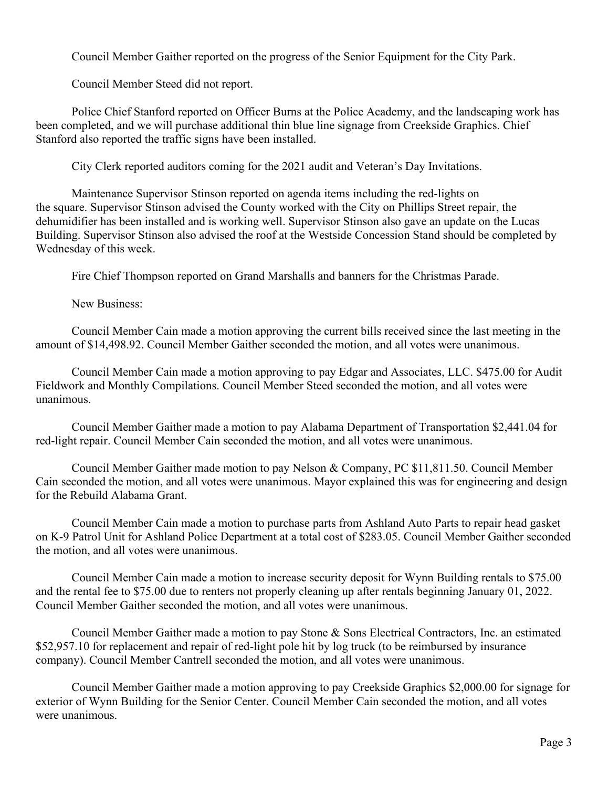Council Member Gaither reported on the progress of the Senior Equipment for the City Park.

Council Member Steed did not report.

Police Chief Stanford reported on Officer Burns at the Police Academy, and the landscaping work has been completed, and we will purchase additional thin blue line signage from Creekside Graphics. Chief Stanford also reported the traffic signs have been installed.

City Clerk reported auditors coming for the 2021 audit and Veteran's Day Invitations.

Maintenance Supervisor Stinson reported on agenda items including the red-lights on the square. Supervisor Stinson advised the County worked with the City on Phillips Street repair, the dehumidifier has been installed and is working well. Supervisor Stinson also gave an update on the Lucas Building. Supervisor Stinson also advised the roof at the Westside Concession Stand should be completed by Wednesday of this week.

Fire Chief Thompson reported on Grand Marshalls and banners for the Christmas Parade.

New Business:

Council Member Cain made a motion approving the current bills received since the last meeting in the amount of \$14,498.92. Council Member Gaither seconded the motion, and all votes were unanimous.

Council Member Cain made a motion approving to pay Edgar and Associates, LLC. \$475.00 for Audit Fieldwork and Monthly Compilations. Council Member Steed seconded the motion, and all votes were unanimous.

Council Member Gaither made a motion to pay Alabama Department of Transportation \$2,441.04 for red-light repair. Council Member Cain seconded the motion, and all votes were unanimous.

Council Member Gaither made motion to pay Nelson & Company, PC \$11,811.50. Council Member Cain seconded the motion, and all votes were unanimous. Mayor explained this was for engineering and design for the Rebuild Alabama Grant.

Council Member Cain made a motion to purchase parts from Ashland Auto Parts to repair head gasket on K-9 Patrol Unit for Ashland Police Department at a total cost of \$283.05. Council Member Gaither seconded the motion, and all votes were unanimous.

Council Member Cain made a motion to increase security deposit for Wynn Building rentals to \$75.00 and the rental fee to \$75.00 due to renters not properly cleaning up after rentals beginning January 01, 2022. Council Member Gaither seconded the motion, and all votes were unanimous.

Council Member Gaither made a motion to pay Stone & Sons Electrical Contractors, Inc. an estimated \$52,957.10 for replacement and repair of red-light pole hit by log truck (to be reimbursed by insurance company). Council Member Cantrell seconded the motion, and all votes were unanimous.

Council Member Gaither made a motion approving to pay Creekside Graphics \$2,000.00 for signage for exterior of Wynn Building for the Senior Center. Council Member Cain seconded the motion, and all votes were unanimous.